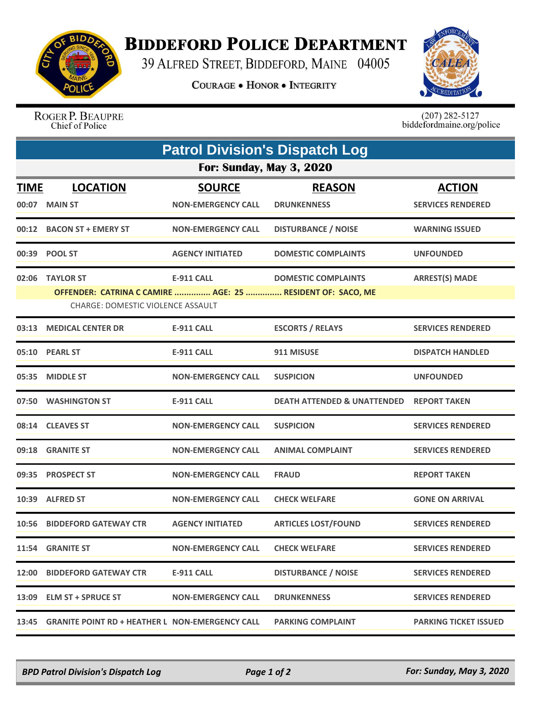

## **BIDDEFORD POLICE DEPARTMENT**

39 ALFRED STREET, BIDDEFORD, MAINE 04005

**COURAGE . HONOR . INTEGRITY** 



ROGER P. BEAUPRE Chief of Police

 $(207)$  282-5127<br>biddefordmaine.org/police

| <b>Patrol Division's Dispatch Log</b> |                                                                                                                            |                                            |                                        |                                           |  |  |  |
|---------------------------------------|----------------------------------------------------------------------------------------------------------------------------|--------------------------------------------|----------------------------------------|-------------------------------------------|--|--|--|
| <b>For: Sunday, May 3, 2020</b>       |                                                                                                                            |                                            |                                        |                                           |  |  |  |
| <b>TIME</b><br>00:07                  | <b>LOCATION</b><br><b>MAIN ST</b>                                                                                          | <b>SOURCE</b><br><b>NON-EMERGENCY CALL</b> | <b>REASON</b><br><b>DRUNKENNESS</b>    | <b>ACTION</b><br><b>SERVICES RENDERED</b> |  |  |  |
|                                       | 00:12 BACON ST + EMERY ST                                                                                                  | <b>NON-EMERGENCY CALL</b>                  | <b>DISTURBANCE / NOISE</b>             | <b>WARNING ISSUED</b>                     |  |  |  |
| 00:39                                 | <b>POOL ST</b>                                                                                                             | <b>AGENCY INITIATED</b>                    | <b>DOMESTIC COMPLAINTS</b>             | <b>UNFOUNDED</b>                          |  |  |  |
| 02:06                                 | <b>TAYLOR ST</b><br>OFFENDER: CATRINA C CAMIRE  AGE: 25  RESIDENT OF: SACO, ME<br><b>CHARGE: DOMESTIC VIOLENCE ASSAULT</b> | <b>E-911 CALL</b>                          | <b>DOMESTIC COMPLAINTS</b>             | <b>ARREST(S) MADE</b>                     |  |  |  |
| 03:13                                 | <b>MEDICAL CENTER DR</b>                                                                                                   | <b>E-911 CALL</b>                          | <b>ESCORTS / RELAYS</b>                | <b>SERVICES RENDERED</b>                  |  |  |  |
|                                       | 05:10 PEARL ST                                                                                                             | <b>E-911 CALL</b>                          | 911 MISUSE                             | <b>DISPATCH HANDLED</b>                   |  |  |  |
| 05:35                                 | <b>MIDDLE ST</b>                                                                                                           | <b>NON-EMERGENCY CALL</b>                  | <b>SUSPICION</b>                       | <b>UNFOUNDED</b>                          |  |  |  |
| 07:50                                 | <b>WASHINGTON ST</b>                                                                                                       | <b>E-911 CALL</b>                          | <b>DEATH ATTENDED &amp; UNATTENDED</b> | <b>REPORT TAKEN</b>                       |  |  |  |
|                                       | 08:14 CLEAVES ST                                                                                                           | <b>NON-EMERGENCY CALL</b>                  | <b>SUSPICION</b>                       | <b>SERVICES RENDERED</b>                  |  |  |  |
| 09:18                                 | <b>GRANITE ST</b>                                                                                                          | <b>NON-EMERGENCY CALL</b>                  | <b>ANIMAL COMPLAINT</b>                | <b>SERVICES RENDERED</b>                  |  |  |  |
| 09:35                                 | <b>PROSPECT ST</b>                                                                                                         | <b>NON-EMERGENCY CALL</b>                  | <b>FRAUD</b>                           | <b>REPORT TAKEN</b>                       |  |  |  |
|                                       | 10:39 ALFRED ST                                                                                                            | <b>NON-EMERGENCY CALL</b>                  | <b>CHECK WELFARE</b>                   | <b>GONE ON ARRIVAL</b>                    |  |  |  |
| 10:56                                 | <b>BIDDEFORD GATEWAY CTR</b>                                                                                               | <b>AGENCY INITIATED</b>                    | <b>ARTICLES LOST/FOUND</b>             | <b>SERVICES RENDERED</b>                  |  |  |  |
| 11:54                                 | <b>GRANITE ST</b>                                                                                                          | <b>NON-EMERGENCY CALL</b>                  | <b>CHECK WELFARE</b>                   | <b>SERVICES RENDERED</b>                  |  |  |  |
| 12:00                                 | <b>BIDDEFORD GATEWAY CTR</b>                                                                                               | <b>E-911 CALL</b>                          | <b>DISTURBANCE / NOISE</b>             | <b>SERVICES RENDERED</b>                  |  |  |  |
| 13:09                                 | <b>ELM ST + SPRUCE ST</b>                                                                                                  | <b>NON-EMERGENCY CALL</b>                  | <b>DRUNKENNESS</b>                     | <b>SERVICES RENDERED</b>                  |  |  |  |
| 13:45                                 | <b>GRANITE POINT RD + HEATHER L NON-EMERGENCY CALL</b>                                                                     |                                            | <b>PARKING COMPLAINT</b>               | <b>PARKING TICKET ISSUED</b>              |  |  |  |